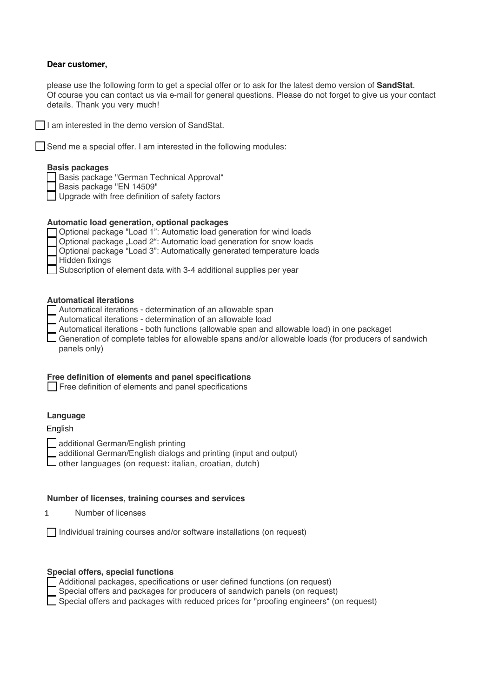## **Dear customer,**

please use the following form to get a special offer or to ask for the latest demo version of **SandStat**. Of course you can contact us via e-mail for general questions. Please do not forget to give us your contact details. Thank you very much!

 $\Box$  I am interested in the demo version of SandStat.

 $\Box$  Send me a special offer. I am interested in the following modules:

# **Basis packages**

Basis package "German Technical Approval"

Basis package "EN 14509"

□ Upgrade with free definition of safety factors

# **Automatic load generation, optional packages**

| □ Optional package "Load 1": Automatic load generation for wind loads  |
|------------------------------------------------------------------------|
| □ Optional package "Load 2": Automatic load generation for snow loads  |
| □ Optional package "Load 3": Automatically generated temperature loads |
| $\Box$ Hidden fixings                                                  |
| Subscription of element data with 3-4 additional supplies per year     |

#### **Automatical iterations**

| Automatical iterations - determination of an allowable span |
|-------------------------------------------------------------|
|-------------------------------------------------------------|

- Automatical iterations determination of an allowable load
- Automatical iterations both functions (allowable span and allowable load) in one packaget

Generation of complete tables for allowable spans and/or allowable loads (for producers of sandwich panels only)

## **Free definition of elements and panel specifications**

Free definition of elements and panel specifications

# **Language**

English

additional German/English printing

additional German/English dialogs and printing (input and output)

 $\Box$  other languages (on request: italian, croatian, dutch)

### **Number of licenses, training courses and services**

Number of licenses 1

 $\Box$  Individual training courses and/or software installations (on request)

#### **Special offers, special functions**

| Additional packages, specifications or user defined functions (on request)            |
|---------------------------------------------------------------------------------------|
| Special offers and packages for producers of sandwich panels (on request)             |
| Special offers and packages with reduced prices for "proofing engineers" (on request) |